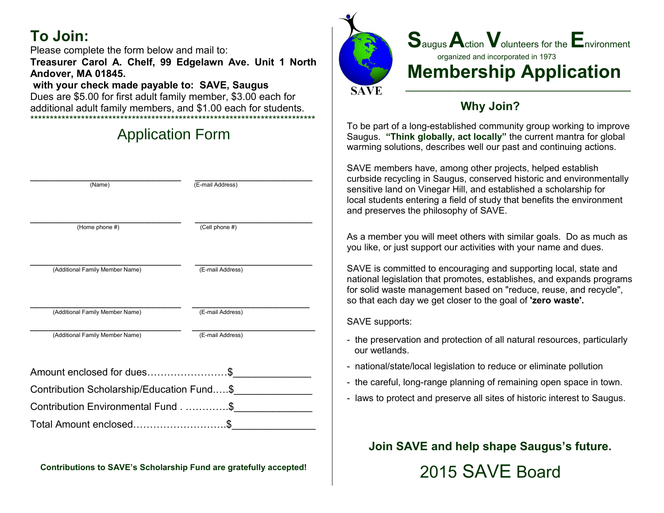# **To Join:**

Please complete the form below and mail to: **Treasurer Carol A. Chelf, 99 Edgelawn Ave. Unit 1 North Andover, MA 01845.**

#### **with your check made payable to: SAVE, Saugus**

Dues are \$5.00 for first adult family member, \$3.00 each for additional adult family members, and \$1.00 each for students. \*\*\*\*\*\*\*\*\*\*\*\*\*\*\*\*\*\*\*\*\*\*\*\*\*\*\*\*\*\*\*\*\*\*\*\*\*\*\*\*\*\*\*\*\*\*\*\*\*\*\*\*\*\*\*\*\*\*\*\*\*\*\*\*\*\*\*\*\*\*\*\*\*

# Application Form

| (Name)                                    | (E-mail Address) |
|-------------------------------------------|------------------|
|                                           |                  |
|                                           |                  |
| (Home phone #)                            | (Cell phone #)   |
|                                           |                  |
|                                           |                  |
| (Additional Family Member Name)           | (E-mail Address) |
|                                           |                  |
| (Additional Family Member Name)           | (E-mail Address) |
|                                           |                  |
| (Additional Family Member Name)           | (E-mail Address) |
|                                           |                  |
| Amount enclosed for dues\$                |                  |
| Contribution Scholarship/Education Fund\$ |                  |
| Contribution Environmental Fund\$         |                  |
| Total Amount enclosed                     |                  |

**Contributions to SAVE's Scholarship Fund are gratefully accepted!**



## **Why Join?**

To be part of a long-established community group working to improve Saugus. **"Think globally, act locally"** the current mantra for global warming solutions, describes well our past and continuing actions.

SAVE members have, among other projects, helped establish curbside recycling in Saugus, conserved historic and environmentally sensitive land on Vinegar Hill, and established a scholarship for local students entering a field of study that benefits the environment and preserves the philosophy of SAVE.

As a member you will meet others with similar goals. Do as much as you like, or just support our activities with your name and dues.

SAVE is committed to encouraging and supporting local, state and national legislation that promotes, establishes, and expands programs for solid waste management based on "reduce, reuse, and recycle", so that each day we get closer to the goal of **'zero waste'.**

SAVE supports:

- the preservation and protection of all natural resources, particularly our wetlands.
- national/state/local legislation to reduce or eliminate pollution
- the careful, long-range planning of remaining open space in town.
- laws to protect and preserve all sites of historic interest to Saugus.

**Join SAVE and help shape Saugus's future.**

2015 SAVE Board